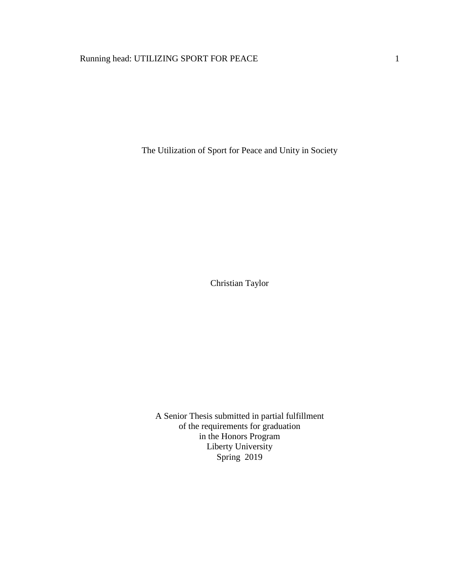# Running head: UTILIZING SPORT FOR PEACE 1

The Utilization of Sport for Peace and Unity in Society

Christian Taylor

A Senior Thesis submitted in partial fulfillment of the requirements for graduation in the Honors Program Liberty University Spring 2019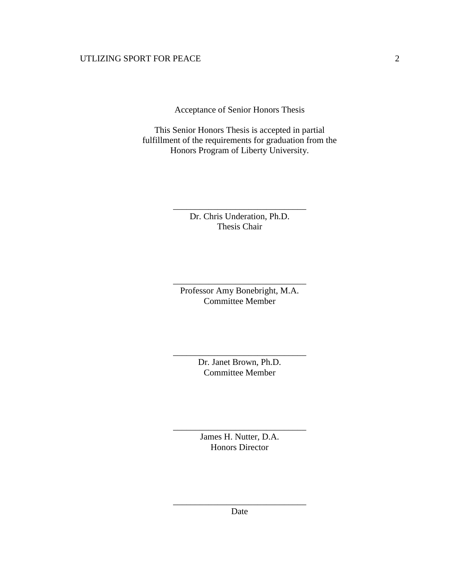Acceptance of Senior Honors Thesis

This Senior Honors Thesis is accepted in partial fulfillment of the requirements for graduation from the Honors Program of Liberty University.

> Dr. Chris Underation, Ph.D. Thesis Chair

\_\_\_\_\_\_\_\_\_\_\_\_\_\_\_\_\_\_\_\_\_\_\_\_\_\_\_\_\_\_

Professor Amy Bonebright, M.A. Committee Member

\_\_\_\_\_\_\_\_\_\_\_\_\_\_\_\_\_\_\_\_\_\_\_\_\_\_\_\_\_\_

Dr. Janet Brown, Ph.D. Committee Member

\_\_\_\_\_\_\_\_\_\_\_\_\_\_\_\_\_\_\_\_\_\_\_\_\_\_\_\_\_\_

James H. Nutter, D.A. Honors Director

\_\_\_\_\_\_\_\_\_\_\_\_\_\_\_\_\_\_\_\_\_\_\_\_\_\_\_\_\_\_

\_\_\_\_\_\_\_\_\_\_\_\_\_\_\_\_\_\_\_\_\_\_\_\_\_\_\_\_\_\_ Date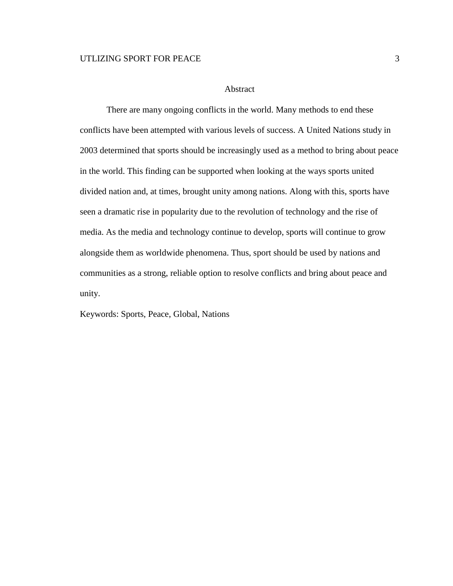## Abstract

There are many ongoing conflicts in the world. Many methods to end these conflicts have been attempted with various levels of success. A United Nations study in 2003 determined that sports should be increasingly used as a method to bring about peace in the world. This finding can be supported when looking at the ways sports united divided nation and, at times, brought unity among nations. Along with this, sports have seen a dramatic rise in popularity due to the revolution of technology and the rise of media. As the media and technology continue to develop, sports will continue to grow alongside them as worldwide phenomena. Thus, sport should be used by nations and communities as a strong, reliable option to resolve conflicts and bring about peace and unity.

Keywords: Sports, Peace, Global, Nations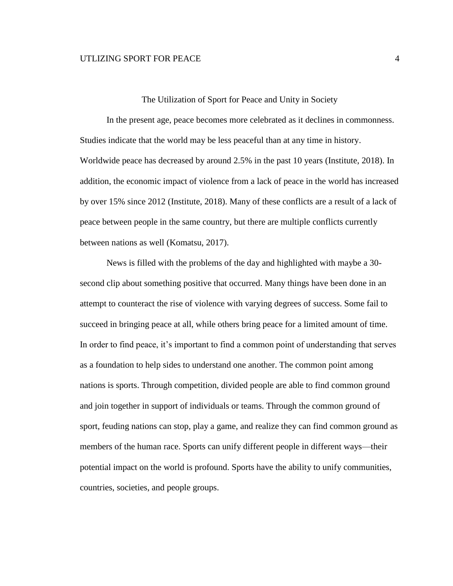#### The Utilization of Sport for Peace and Unity in Society

In the present age, peace becomes more celebrated as it declines in commonness. Studies indicate that the world may be less peaceful than at any time in history. Worldwide peace has decreased by around 2.5% in the past 10 years (Institute, 2018). In addition, the economic impact of violence from a lack of peace in the world has increased by over 15% since 2012 (Institute, 2018). Many of these conflicts are a result of a lack of peace between people in the same country, but there are multiple conflicts currently between nations as well (Komatsu, 2017).

News is filled with the problems of the day and highlighted with maybe a 30 second clip about something positive that occurred. Many things have been done in an attempt to counteract the rise of violence with varying degrees of success. Some fail to succeed in bringing peace at all, while others bring peace for a limited amount of time. In order to find peace, it's important to find a common point of understanding that serves as a foundation to help sides to understand one another. The common point among nations is sports. Through competition, divided people are able to find common ground and join together in support of individuals or teams. Through the common ground of sport, feuding nations can stop, play a game, and realize they can find common ground as members of the human race. Sports can unify different people in different ways—their potential impact on the world is profound. Sports have the ability to unify communities, countries, societies, and people groups.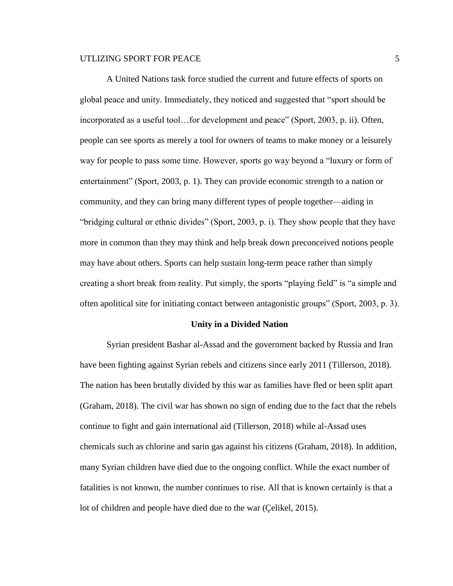A United Nations task force studied the current and future effects of sports on global peace and unity. Immediately, they noticed and suggested that "sport should be incorporated as a useful tool…for development and peace" (Sport, 2003, p. ii). Often, people can see sports as merely a tool for owners of teams to make money or a leisurely way for people to pass some time. However, sports go way beyond a "luxury or form of entertainment" (Sport, 2003, p. 1). They can provide economic strength to a nation or community, and they can bring many different types of people together—aiding in "bridging cultural or ethnic divides" (Sport, 2003, p. i). They show people that they have more in common than they may think and help break down preconceived notions people may have about others. Sports can help sustain long-term peace rather than simply creating a short break from reality. Put simply, the sports "playing field" is "a simple and often apolitical site for initiating contact between antagonistic groups" (Sport, 2003, p. 3).

#### **Unity in a Divided Nation**

Syrian president Bashar al-Assad and the government backed by Russia and Iran have been fighting against Syrian rebels and citizens since early 2011 (Tillerson, 2018). The nation has been brutally divided by this war as families have fled or been split apart (Graham, 2018). The civil war has shown no sign of ending due to the fact that the rebels continue to fight and gain international aid (Tillerson, 2018) while al-Assad uses chemicals such as chlorine and sarin gas against his citizens (Graham, 2018). In addition, many Syrian children have died due to the ongoing conflict. While the exact number of fatalities is not known, the number continues to rise. All that is known certainly is that a lot of children and people have died due to the war (Çelikel, 2015).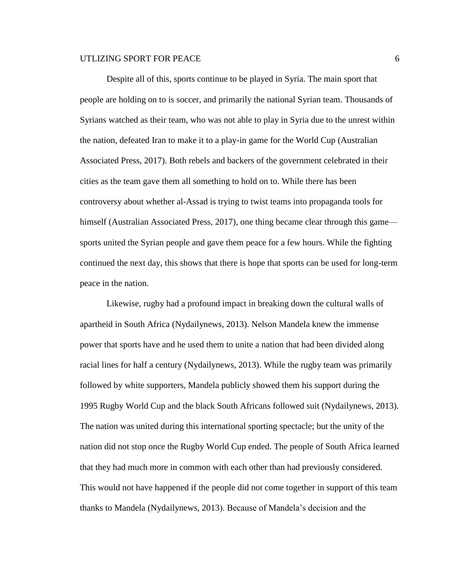Despite all of this, sports continue to be played in Syria. The main sport that people are holding on to is soccer, and primarily the national Syrian team. Thousands of Syrians watched as their team, who was not able to play in Syria due to the unrest within the nation, defeated Iran to make it to a play-in game for the World Cup (Australian Associated Press, 2017). Both rebels and backers of the government celebrated in their cities as the team gave them all something to hold on to. While there has been controversy about whether al-Assad is trying to twist teams into propaganda tools for himself (Australian Associated Press, 2017), one thing became clear through this game sports united the Syrian people and gave them peace for a few hours. While the fighting continued the next day, this shows that there is hope that sports can be used for long-term peace in the nation.

Likewise, rugby had a profound impact in breaking down the cultural walls of apartheid in South Africa (Nydailynews, 2013). Nelson Mandela knew the immense power that sports have and he used them to unite a nation that had been divided along racial lines for half a century (Nydailynews, 2013). While the rugby team was primarily followed by white supporters, Mandela publicly showed them his support during the 1995 Rugby World Cup and the black South Africans followed suit (Nydailynews, 2013). The nation was united during this international sporting spectacle; but the unity of the nation did not stop once the Rugby World Cup ended. The people of South Africa learned that they had much more in common with each other than had previously considered. This would not have happened if the people did not come together in support of this team thanks to Mandela (Nydailynews, 2013). Because of Mandela's decision and the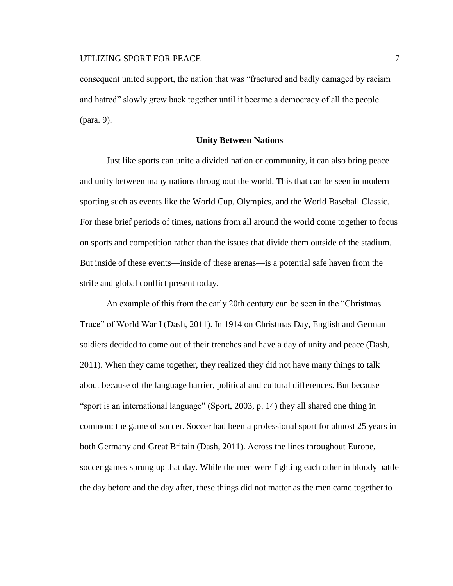consequent united support, the nation that was "fractured and badly damaged by racism and hatred" slowly grew back together until it became a democracy of all the people (para. 9).

#### **Unity Between Nations**

Just like sports can unite a divided nation or community, it can also bring peace and unity between many nations throughout the world. This that can be seen in modern sporting such as events like the World Cup, Olympics, and the World Baseball Classic. For these brief periods of times, nations from all around the world come together to focus on sports and competition rather than the issues that divide them outside of the stadium. But inside of these events—inside of these arenas—is a potential safe haven from the strife and global conflict present today.

An example of this from the early 20th century can be seen in the "Christmas Truce" of World War I (Dash, 2011). In 1914 on Christmas Day, English and German soldiers decided to come out of their trenches and have a day of unity and peace (Dash, 2011). When they came together, they realized they did not have many things to talk about because of the language barrier, political and cultural differences. But because "sport is an international language" (Sport, 2003, p. 14) they all shared one thing in common: the game of soccer. Soccer had been a professional sport for almost 25 years in both Germany and Great Britain (Dash, 2011). Across the lines throughout Europe, soccer games sprung up that day. While the men were fighting each other in bloody battle the day before and the day after, these things did not matter as the men came together to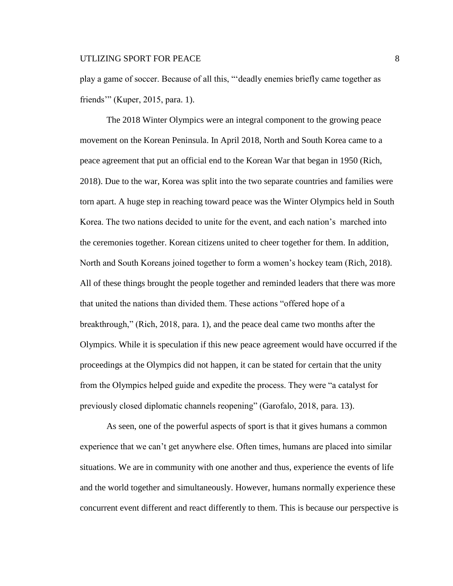play a game of soccer. Because of all this, "'deadly enemies briefly came together as friends'" (Kuper, 2015, para. 1).

The 2018 Winter Olympics were an integral component to the growing peace movement on the Korean Peninsula. In April 2018, North and South Korea came to a peace agreement that put an official end to the Korean War that began in 1950 (Rich, 2018). Due to the war, Korea was split into the two separate countries and families were torn apart. A huge step in reaching toward peace was the Winter Olympics held in South Korea. The two nations decided to unite for the event, and each nation's marched into the ceremonies together. Korean citizens united to cheer together for them. In addition, North and South Koreans joined together to form a women's hockey team (Rich, 2018). All of these things brought the people together and reminded leaders that there was more that united the nations than divided them. These actions "offered hope of a breakthrough," (Rich, 2018, para. 1), and the peace deal came two months after the Olympics. While it is speculation if this new peace agreement would have occurred if the proceedings at the Olympics did not happen, it can be stated for certain that the unity from the Olympics helped guide and expedite the process. They were "a catalyst for previously closed diplomatic channels reopening" (Garofalo, 2018, para. 13).

As seen, one of the powerful aspects of sport is that it gives humans a common experience that we can't get anywhere else. Often times, humans are placed into similar situations. We are in community with one another and thus, experience the events of life and the world together and simultaneously. However, humans normally experience these concurrent event different and react differently to them. This is because our perspective is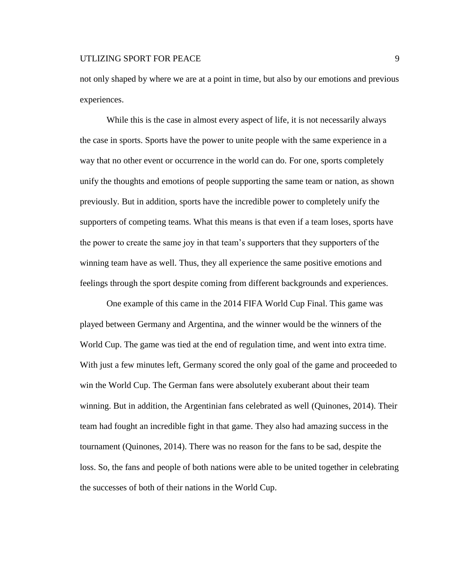not only shaped by where we are at a point in time, but also by our emotions and previous experiences.

While this is the case in almost every aspect of life, it is not necessarily always the case in sports. Sports have the power to unite people with the same experience in a way that no other event or occurrence in the world can do. For one, sports completely unify the thoughts and emotions of people supporting the same team or nation, as shown previously. But in addition, sports have the incredible power to completely unify the supporters of competing teams. What this means is that even if a team loses, sports have the power to create the same joy in that team's supporters that they supporters of the winning team have as well. Thus, they all experience the same positive emotions and feelings through the sport despite coming from different backgrounds and experiences.

One example of this came in the 2014 FIFA World Cup Final. This game was played between Germany and Argentina, and the winner would be the winners of the World Cup. The game was tied at the end of regulation time, and went into extra time. With just a few minutes left, Germany scored the only goal of the game and proceeded to win the World Cup. The German fans were absolutely exuberant about their team winning. But in addition, the Argentinian fans celebrated as well (Quinones, 2014). Their team had fought an incredible fight in that game. They also had amazing success in the tournament (Quinones, 2014). There was no reason for the fans to be sad, despite the loss. So, the fans and people of both nations were able to be united together in celebrating the successes of both of their nations in the World Cup.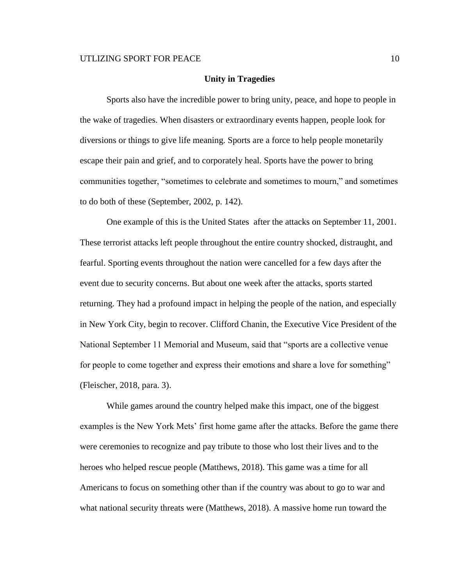#### **Unity in Tragedies**

Sports also have the incredible power to bring unity, peace, and hope to people in the wake of tragedies. When disasters or extraordinary events happen, people look for diversions or things to give life meaning. Sports are a force to help people monetarily escape their pain and grief, and to corporately heal. Sports have the power to bring communities together, "sometimes to celebrate and sometimes to mourn," and sometimes to do both of these (September, 2002, p. 142).

One example of this is the United States after the attacks on September 11, 2001. These terrorist attacks left people throughout the entire country shocked, distraught, and fearful. Sporting events throughout the nation were cancelled for a few days after the event due to security concerns. But about one week after the attacks, sports started returning. They had a profound impact in helping the people of the nation, and especially in New York City, begin to recover. Clifford Chanin, the Executive Vice President of the National September 11 Memorial and Museum, said that "sports are a collective venue for people to come together and express their emotions and share a love for something" (Fleischer, 2018, para. 3).

While games around the country helped make this impact, one of the biggest examples is the New York Mets' first home game after the attacks. Before the game there were ceremonies to recognize and pay tribute to those who lost their lives and to the heroes who helped rescue people (Matthews, 2018). This game was a time for all Americans to focus on something other than if the country was about to go to war and what national security threats were (Matthews, 2018). A massive home run toward the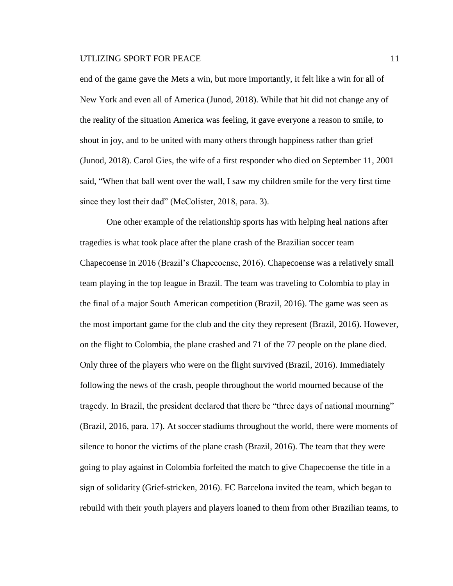end of the game gave the Mets a win, but more importantly, it felt like a win for all of New York and even all of America (Junod, 2018). While that hit did not change any of the reality of the situation America was feeling, it gave everyone a reason to smile, to shout in joy, and to be united with many others through happiness rather than grief (Junod, 2018). Carol Gies, the wife of a first responder who died on September 11, 2001 said, "When that ball went over the wall, I saw my children smile for the very first time since they lost their dad" (McColister, 2018, para. 3).

One other example of the relationship sports has with helping heal nations after tragedies is what took place after the plane crash of the Brazilian soccer team Chapecoense in 2016 (Brazil's Chapecoense, 2016). Chapecoense was a relatively small team playing in the top league in Brazil. The team was traveling to Colombia to play in the final of a major South American competition (Brazil, 2016). The game was seen as the most important game for the club and the city they represent (Brazil, 2016). However, on the flight to Colombia, the plane crashed and 71 of the 77 people on the plane died. Only three of the players who were on the flight survived (Brazil, 2016). Immediately following the news of the crash, people throughout the world mourned because of the tragedy. In Brazil, the president declared that there be "three days of national mourning" (Brazil, 2016, para. 17). At soccer stadiums throughout the world, there were moments of silence to honor the victims of the plane crash (Brazil, 2016). The team that they were going to play against in Colombia forfeited the match to give Chapecoense the title in a sign of solidarity (Grief-stricken, 2016). FC Barcelona invited the team, which began to rebuild with their youth players and players loaned to them from other Brazilian teams, to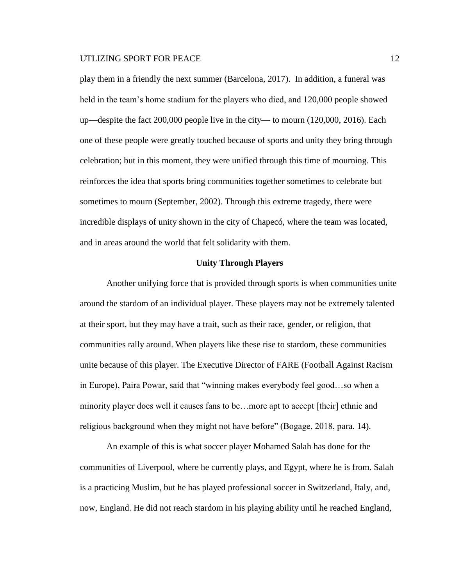play them in a friendly the next summer (Barcelona, 2017). In addition, a funeral was held in the team's home stadium for the players who died, and 120,000 people showed up—despite the fact 200,000 people live in the city— to mourn (120,000, 2016). Each one of these people were greatly touched because of sports and unity they bring through celebration; but in this moment, they were unified through this time of mourning. This reinforces the idea that sports bring communities together sometimes to celebrate but sometimes to mourn (September, 2002). Through this extreme tragedy, there were incredible displays of unity shown in the city of Chapecó, where the team was located, and in areas around the world that felt solidarity with them.

#### **Unity Through Players**

Another unifying force that is provided through sports is when communities unite around the stardom of an individual player. These players may not be extremely talented at their sport, but they may have a trait, such as their race, gender, or religion, that communities rally around. When players like these rise to stardom, these communities unite because of this player. The Executive Director of FARE (Football Against Racism in Europe), Paira Powar, said that "winning makes everybody feel good…so when a minority player does well it causes fans to be…more apt to accept [their] ethnic and religious background when they might not have before" (Bogage, 2018, para. 14).

An example of this is what soccer player Mohamed Salah has done for the communities of Liverpool, where he currently plays, and Egypt, where he is from. Salah is a practicing Muslim, but he has played professional soccer in Switzerland, Italy, and, now, England. He did not reach stardom in his playing ability until he reached England,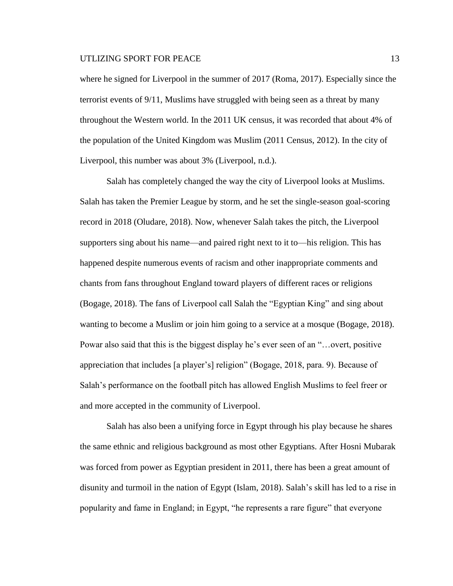where he signed for Liverpool in the summer of 2017 (Roma, 2017). Especially since the terrorist events of 9/11, Muslims have struggled with being seen as a threat by many throughout the Western world. In the 2011 UK census, it was recorded that about 4% of the population of the United Kingdom was Muslim (2011 Census, 2012). In the city of Liverpool, this number was about 3% (Liverpool, n.d.).

Salah has completely changed the way the city of Liverpool looks at Muslims. Salah has taken the Premier League by storm, and he set the single-season goal-scoring record in 2018 (Oludare, 2018). Now, whenever Salah takes the pitch, the Liverpool supporters sing about his name—and paired right next to it to—his religion. This has happened despite numerous events of racism and other inappropriate comments and chants from fans throughout England toward players of different races or religions (Bogage, 2018). The fans of Liverpool call Salah the "Egyptian King" and sing about wanting to become a Muslim or join him going to a service at a mosque (Bogage, 2018). Powar also said that this is the biggest display he's ever seen of an "…overt, positive appreciation that includes [a player's] religion" (Bogage, 2018, para. 9). Because of Salah's performance on the football pitch has allowed English Muslims to feel freer or and more accepted in the community of Liverpool.

Salah has also been a unifying force in Egypt through his play because he shares the same ethnic and religious background as most other Egyptians. After Hosni Mubarak was forced from power as Egyptian president in 2011, there has been a great amount of disunity and turmoil in the nation of Egypt (Islam, 2018). Salah's skill has led to a rise in popularity and fame in England; in Egypt, "he represents a rare figure" that everyone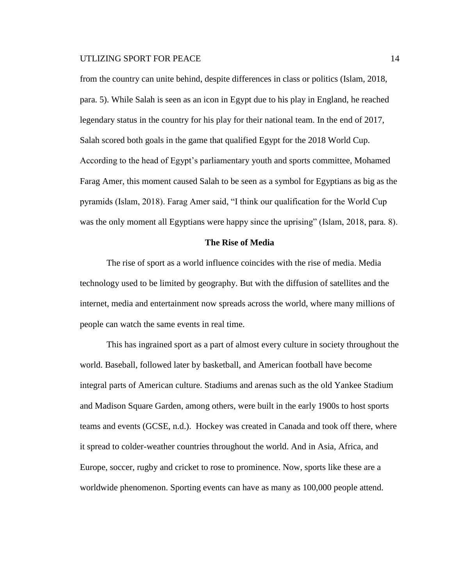from the country can unite behind, despite differences in class or politics (Islam, 2018, para. 5). While Salah is seen as an icon in Egypt due to his play in England, he reached legendary status in the country for his play for their national team. In the end of 2017, Salah scored both goals in the game that qualified Egypt for the 2018 World Cup. According to the head of Egypt's parliamentary youth and sports committee, Mohamed Farag Amer, this moment caused Salah to be seen as a symbol for Egyptians as big as the pyramids (Islam, 2018). Farag Amer said, "I think our qualification for the World Cup was the only moment all Egyptians were happy since the uprising" (Islam, 2018, para. 8).

#### **The Rise of Media**

The rise of sport as a world influence coincides with the rise of media. Media technology used to be limited by geography. But with the diffusion of satellites and the internet, media and entertainment now spreads across the world, where many millions of people can watch the same events in real time.

This has ingrained sport as a part of almost every culture in society throughout the world. Baseball, followed later by basketball, and American football have become integral parts of American culture. Stadiums and arenas such as the old Yankee Stadium and Madison Square Garden, among others, were built in the early 1900s to host sports teams and events (GCSE, n.d.). Hockey was created in Canada and took off there, where it spread to colder-weather countries throughout the world. And in Asia, Africa, and Europe, soccer, rugby and cricket to rose to prominence. Now, sports like these are a worldwide phenomenon. Sporting events can have as many as 100,000 people attend.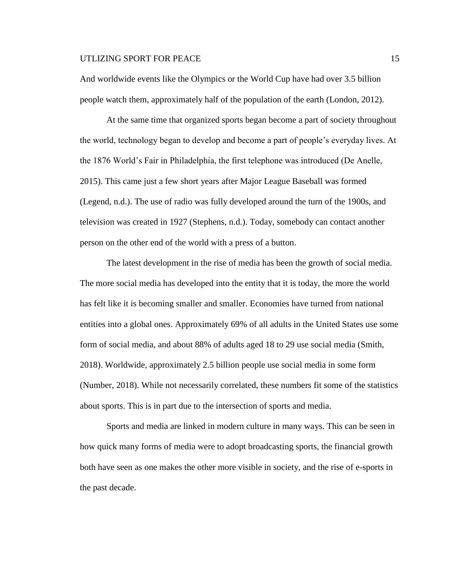And worldwide events like the Olympics or the World Cup have had over 3.5 billion people watch them, approximately half of the population of the earth (London, 2012).

At the same time that organized sports began become a part of society throughout the world, technology began to develop and become a part of people's everyday lives. At the 1876 World's Fair in Philadelphia, the first telephone was introduced (De Anelle, 2015). This came just a few short years after Major League Baseball was formed (Legend, n.d.). The use of radio was fully developed around the turn of the 1900s, and television was created in 1927 (Stephens, n.d.). Today, somebody can contact another person on the other end of the world with a press of a button.

The latest development in the rise of media has been the growth of social media. The more social media has developed into the entity that it is today, the more the world has felt like it is becoming smaller and smaller. Economies have turned from national entities into a global ones. Approximately 69% of all adults in the United States use some form of social media, and about 88% of adults aged 18 to 29 use social media (Smith, 2018). Worldwide, approximately 2.5 billion people use social media in some form (Number, 2018). While not necessarily correlated, these numbers fit some of the statistics about sports. This is in part due to the intersection of sports and media.

Sports and media are linked in modern culture in many ways. This can be seen in how quick many forms of media were to adopt broadcasting sports, the financial growth both have seen as one makes the other more visible in society, and the rise of e-sports in the past decade.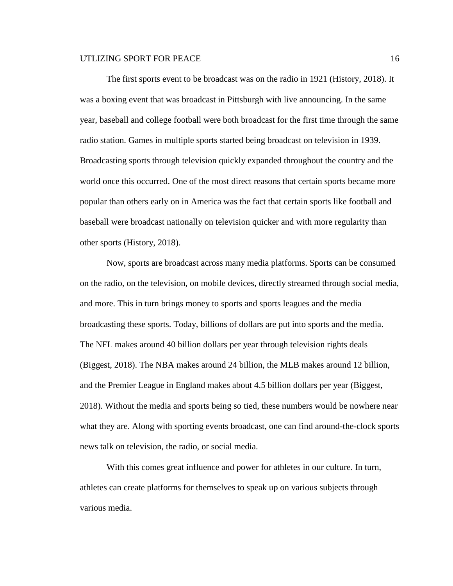The first sports event to be broadcast was on the radio in 1921 (History, 2018). It was a boxing event that was broadcast in Pittsburgh with live announcing. In the same year, baseball and college football were both broadcast for the first time through the same radio station. Games in multiple sports started being broadcast on television in 1939. Broadcasting sports through television quickly expanded throughout the country and the world once this occurred. One of the most direct reasons that certain sports became more popular than others early on in America was the fact that certain sports like football and baseball were broadcast nationally on television quicker and with more regularity than other sports (History, 2018).

Now, sports are broadcast across many media platforms. Sports can be consumed on the radio, on the television, on mobile devices, directly streamed through social media, and more. This in turn brings money to sports and sports leagues and the media broadcasting these sports. Today, billions of dollars are put into sports and the media. The NFL makes around 40 billion dollars per year through television rights deals (Biggest, 2018). The NBA makes around 24 billion, the MLB makes around 12 billion, and the Premier League in England makes about 4.5 billion dollars per year (Biggest, 2018). Without the media and sports being so tied, these numbers would be nowhere near what they are. Along with sporting events broadcast, one can find around-the-clock sports news talk on television, the radio, or social media.

With this comes great influence and power for athletes in our culture. In turn, athletes can create platforms for themselves to speak up on various subjects through various media.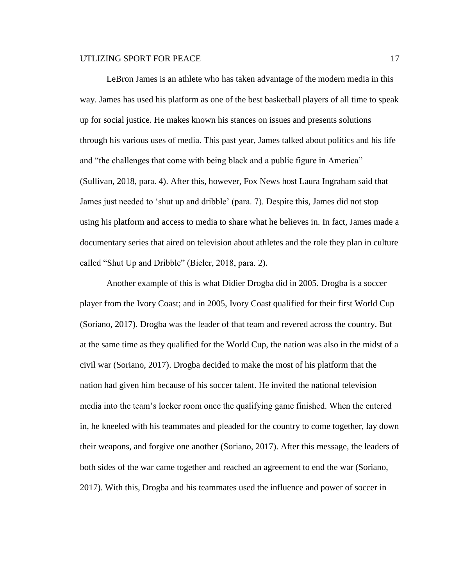LeBron James is an athlete who has taken advantage of the modern media in this way. James has used his platform as one of the best basketball players of all time to speak up for social justice. He makes known his stances on issues and presents solutions through his various uses of media. This past year, James talked about politics and his life and "the challenges that come with being black and a public figure in America" (Sullivan, 2018, para. 4). After this, however, Fox News host Laura Ingraham said that James just needed to 'shut up and dribble' (para. 7). Despite this, James did not stop using his platform and access to media to share what he believes in. In fact, James made a documentary series that aired on television about athletes and the role they plan in culture called "Shut Up and Dribble" (Bieler, 2018, para. 2).

Another example of this is what Didier Drogba did in 2005. Drogba is a soccer player from the Ivory Coast; and in 2005, Ivory Coast qualified for their first World Cup (Soriano, 2017). Drogba was the leader of that team and revered across the country. But at the same time as they qualified for the World Cup, the nation was also in the midst of a civil war (Soriano, 2017). Drogba decided to make the most of his platform that the nation had given him because of his soccer talent. He invited the national television media into the team's locker room once the qualifying game finished. When the entered in, he kneeled with his teammates and pleaded for the country to come together, lay down their weapons, and forgive one another (Soriano, 2017). After this message, the leaders of both sides of the war came together and reached an agreement to end the war (Soriano, 2017). With this, Drogba and his teammates used the influence and power of soccer in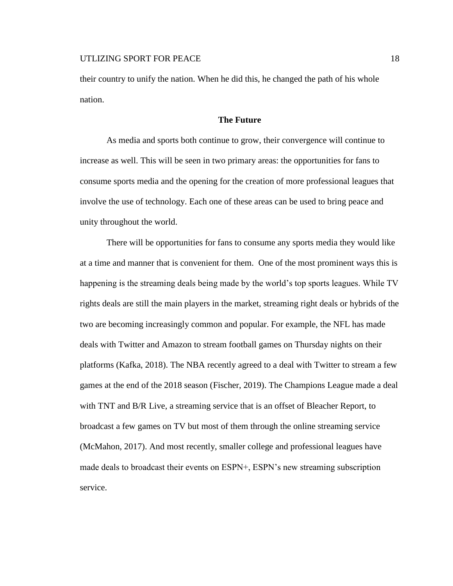their country to unify the nation. When he did this, he changed the path of his whole nation.

## **The Future**

As media and sports both continue to grow, their convergence will continue to increase as well. This will be seen in two primary areas: the opportunities for fans to consume sports media and the opening for the creation of more professional leagues that involve the use of technology. Each one of these areas can be used to bring peace and unity throughout the world.

There will be opportunities for fans to consume any sports media they would like at a time and manner that is convenient for them. One of the most prominent ways this is happening is the streaming deals being made by the world's top sports leagues. While TV rights deals are still the main players in the market, streaming right deals or hybrids of the two are becoming increasingly common and popular. For example, the NFL has made deals with Twitter and Amazon to stream football games on Thursday nights on their platforms (Kafka, 2018). The NBA recently agreed to a deal with Twitter to stream a few games at the end of the 2018 season (Fischer, 2019). The Champions League made a deal with TNT and B/R Live, a streaming service that is an offset of Bleacher Report, to broadcast a few games on TV but most of them through the online streaming service (McMahon, 2017). And most recently, smaller college and professional leagues have made deals to broadcast their events on ESPN+, ESPN's new streaming subscription service.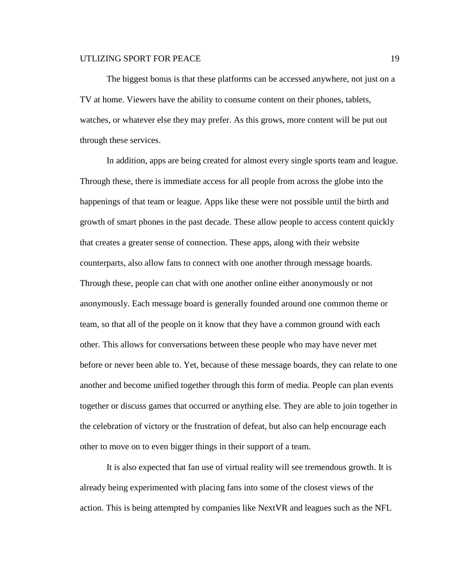The biggest bonus is that these platforms can be accessed anywhere, not just on a TV at home. Viewers have the ability to consume content on their phones, tablets, watches, or whatever else they may prefer. As this grows, more content will be put out through these services.

In addition, apps are being created for almost every single sports team and league. Through these, there is immediate access for all people from across the globe into the happenings of that team or league. Apps like these were not possible until the birth and growth of smart phones in the past decade. These allow people to access content quickly that creates a greater sense of connection. These apps, along with their website counterparts, also allow fans to connect with one another through message boards. Through these, people can chat with one another online either anonymously or not anonymously. Each message board is generally founded around one common theme or team, so that all of the people on it know that they have a common ground with each other. This allows for conversations between these people who may have never met before or never been able to. Yet, because of these message boards, they can relate to one another and become unified together through this form of media. People can plan events together or discuss games that occurred or anything else. They are able to join together in the celebration of victory or the frustration of defeat, but also can help encourage each other to move on to even bigger things in their support of a team.

It is also expected that fan use of virtual reality will see tremendous growth. It is already being experimented with placing fans into some of the closest views of the action. This is being attempted by companies like NextVR and leagues such as the NFL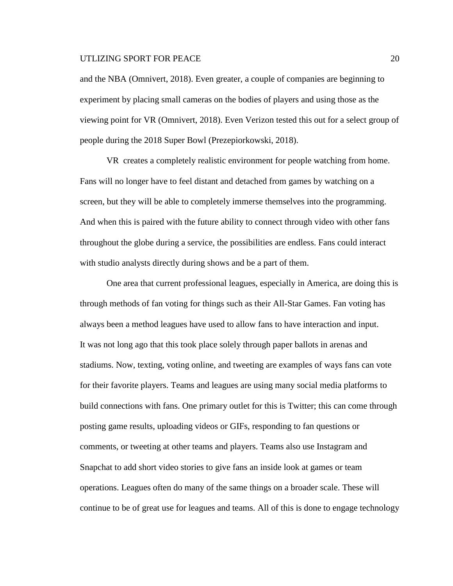and the NBA (Omnivert, 2018). Even greater, a couple of companies are beginning to experiment by placing small cameras on the bodies of players and using those as the viewing point for VR (Omnivert, 2018). Even Verizon tested this out for a select group of people during the 2018 Super Bowl (Prezepiorkowski, 2018).

VR creates a completely realistic environment for people watching from home. Fans will no longer have to feel distant and detached from games by watching on a screen, but they will be able to completely immerse themselves into the programming. And when this is paired with the future ability to connect through video with other fans throughout the globe during a service, the possibilities are endless. Fans could interact with studio analysts directly during shows and be a part of them.

One area that current professional leagues, especially in America, are doing this is through methods of fan voting for things such as their All-Star Games. Fan voting has always been a method leagues have used to allow fans to have interaction and input. It was not long ago that this took place solely through paper ballots in arenas and stadiums. Now, texting, voting online, and tweeting are examples of ways fans can vote for their favorite players. Teams and leagues are using many social media platforms to build connections with fans. One primary outlet for this is Twitter; this can come through posting game results, uploading videos or GIFs, responding to fan questions or comments, or tweeting at other teams and players. Teams also use Instagram and Snapchat to add short video stories to give fans an inside look at games or team operations. Leagues often do many of the same things on a broader scale. These will continue to be of great use for leagues and teams. All of this is done to engage technology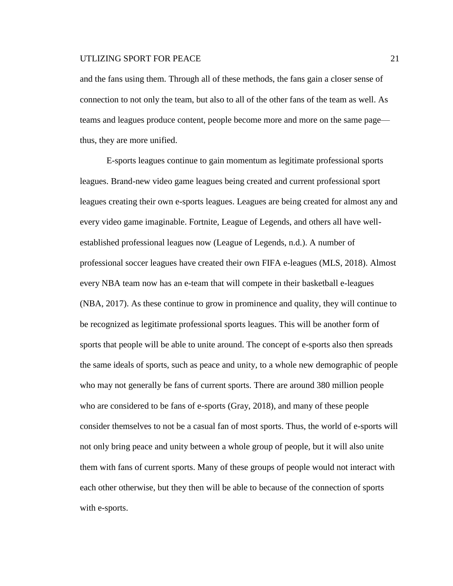and the fans using them. Through all of these methods, the fans gain a closer sense of connection to not only the team, but also to all of the other fans of the team as well. As teams and leagues produce content, people become more and more on the same page thus, they are more unified.

E-sports leagues continue to gain momentum as legitimate professional sports leagues. Brand-new video game leagues being created and current professional sport leagues creating their own e-sports leagues. Leagues are being created for almost any and every video game imaginable. Fortnite, League of Legends, and others all have wellestablished professional leagues now (League of Legends, n.d.). A number of professional soccer leagues have created their own FIFA e-leagues (MLS, 2018). Almost every NBA team now has an e-team that will compete in their basketball e-leagues (NBA, 2017). As these continue to grow in prominence and quality, they will continue to be recognized as legitimate professional sports leagues. This will be another form of sports that people will be able to unite around. The concept of e-sports also then spreads the same ideals of sports, such as peace and unity, to a whole new demographic of people who may not generally be fans of current sports. There are around 380 million people who are considered to be fans of e-sports (Gray, 2018), and many of these people consider themselves to not be a casual fan of most sports. Thus, the world of e-sports will not only bring peace and unity between a whole group of people, but it will also unite them with fans of current sports. Many of these groups of people would not interact with each other otherwise, but they then will be able to because of the connection of sports with e-sports.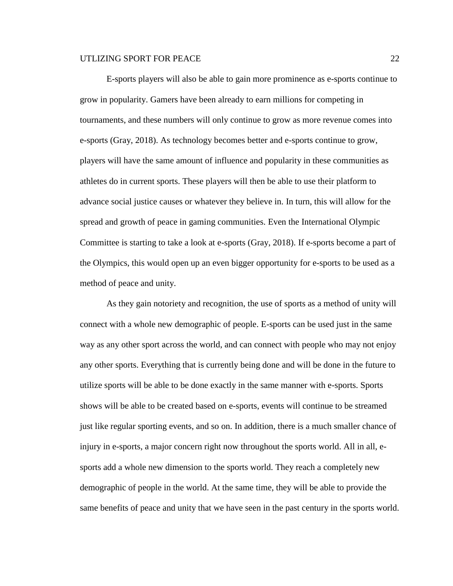E-sports players will also be able to gain more prominence as e-sports continue to grow in popularity. Gamers have been already to earn millions for competing in tournaments, and these numbers will only continue to grow as more revenue comes into e-sports (Gray, 2018). As technology becomes better and e-sports continue to grow, players will have the same amount of influence and popularity in these communities as athletes do in current sports. These players will then be able to use their platform to advance social justice causes or whatever they believe in. In turn, this will allow for the spread and growth of peace in gaming communities. Even the International Olympic Committee is starting to take a look at e-sports (Gray, 2018). If e-sports become a part of the Olympics, this would open up an even bigger opportunity for e-sports to be used as a method of peace and unity.

As they gain notoriety and recognition, the use of sports as a method of unity will connect with a whole new demographic of people. E-sports can be used just in the same way as any other sport across the world, and can connect with people who may not enjoy any other sports. Everything that is currently being done and will be done in the future to utilize sports will be able to be done exactly in the same manner with e-sports. Sports shows will be able to be created based on e-sports, events will continue to be streamed just like regular sporting events, and so on. In addition, there is a much smaller chance of injury in e-sports, a major concern right now throughout the sports world. All in all, esports add a whole new dimension to the sports world. They reach a completely new demographic of people in the world. At the same time, they will be able to provide the same benefits of peace and unity that we have seen in the past century in the sports world.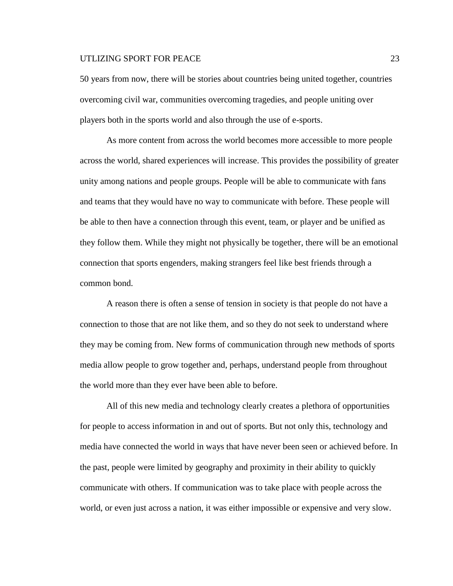50 years from now, there will be stories about countries being united together, countries overcoming civil war, communities overcoming tragedies, and people uniting over players both in the sports world and also through the use of e-sports.

As more content from across the world becomes more accessible to more people across the world, shared experiences will increase. This provides the possibility of greater unity among nations and people groups. People will be able to communicate with fans and teams that they would have no way to communicate with before. These people will be able to then have a connection through this event, team, or player and be unified as they follow them. While they might not physically be together, there will be an emotional connection that sports engenders, making strangers feel like best friends through a common bond.

A reason there is often a sense of tension in society is that people do not have a connection to those that are not like them, and so they do not seek to understand where they may be coming from. New forms of communication through new methods of sports media allow people to grow together and, perhaps, understand people from throughout the world more than they ever have been able to before.

All of this new media and technology clearly creates a plethora of opportunities for people to access information in and out of sports. But not only this, technology and media have connected the world in ways that have never been seen or achieved before. In the past, people were limited by geography and proximity in their ability to quickly communicate with others. If communication was to take place with people across the world, or even just across a nation, it was either impossible or expensive and very slow.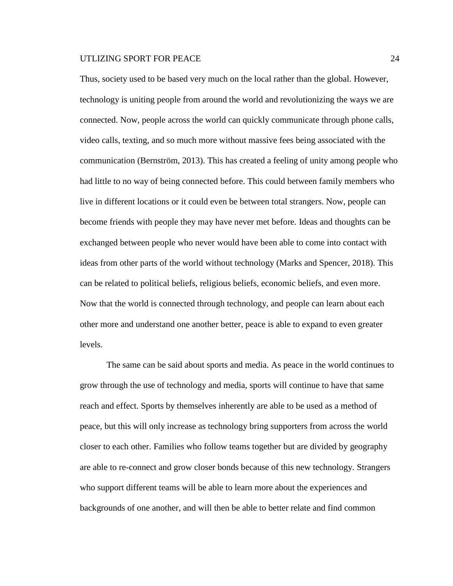Thus, society used to be based very much on the local rather than the global. However, technology is uniting people from around the world and revolutionizing the ways we are connected. Now, people across the world can quickly communicate through phone calls, video calls, texting, and so much more without massive fees being associated with the communication (Bernström, 2013). This has created a feeling of unity among people who had little to no way of being connected before. This could between family members who live in different locations or it could even be between total strangers. Now, people can become friends with people they may have never met before. Ideas and thoughts can be exchanged between people who never would have been able to come into contact with ideas from other parts of the world without technology (Marks and Spencer, 2018). This can be related to political beliefs, religious beliefs, economic beliefs, and even more. Now that the world is connected through technology, and people can learn about each other more and understand one another better, peace is able to expand to even greater levels.

The same can be said about sports and media. As peace in the world continues to grow through the use of technology and media, sports will continue to have that same reach and effect. Sports by themselves inherently are able to be used as a method of peace, but this will only increase as technology bring supporters from across the world closer to each other. Families who follow teams together but are divided by geography are able to re-connect and grow closer bonds because of this new technology. Strangers who support different teams will be able to learn more about the experiences and backgrounds of one another, and will then be able to better relate and find common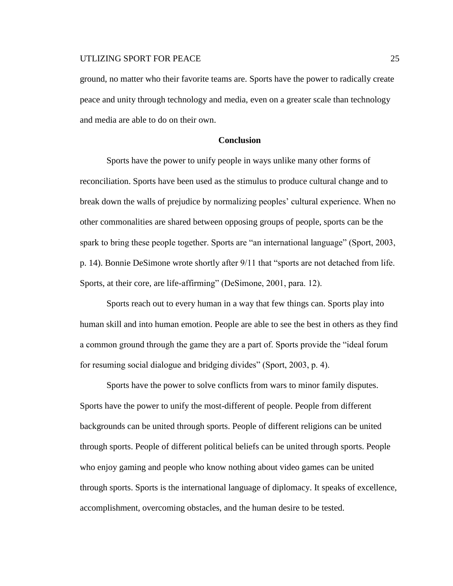ground, no matter who their favorite teams are. Sports have the power to radically create peace and unity through technology and media, even on a greater scale than technology and media are able to do on their own.

#### **Conclusion**

Sports have the power to unify people in ways unlike many other forms of reconciliation. Sports have been used as the stimulus to produce cultural change and to break down the walls of prejudice by normalizing peoples' cultural experience. When no other commonalities are shared between opposing groups of people, sports can be the spark to bring these people together. Sports are "an international language" (Sport, 2003, p. 14). Bonnie DeSimone wrote shortly after 9/11 that "sports are not detached from life. Sports, at their core, are life-affirming" (DeSimone, 2001, para. 12).

Sports reach out to every human in a way that few things can. Sports play into human skill and into human emotion. People are able to see the best in others as they find a common ground through the game they are a part of. Sports provide the "ideal forum for resuming social dialogue and bridging divides" (Sport, 2003, p. 4).

Sports have the power to solve conflicts from wars to minor family disputes. Sports have the power to unify the most-different of people. People from different backgrounds can be united through sports. People of different religions can be united through sports. People of different political beliefs can be united through sports. People who enjoy gaming and people who know nothing about video games can be united through sports. Sports is the international language of diplomacy. It speaks of excellence, accomplishment, overcoming obstacles, and the human desire to be tested.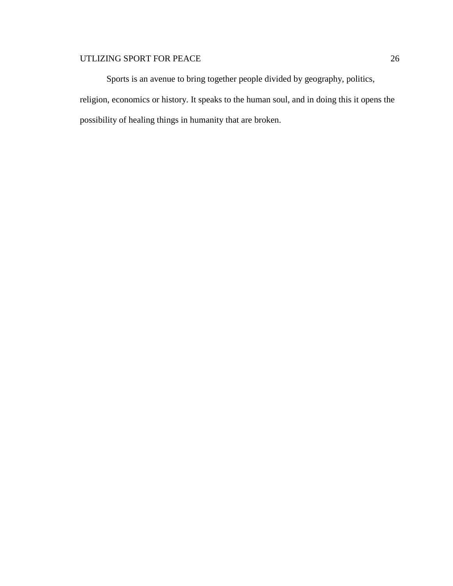Sports is an avenue to bring together people divided by geography, politics, religion, economics or history. It speaks to the human soul, and in doing this it opens the possibility of healing things in humanity that are broken.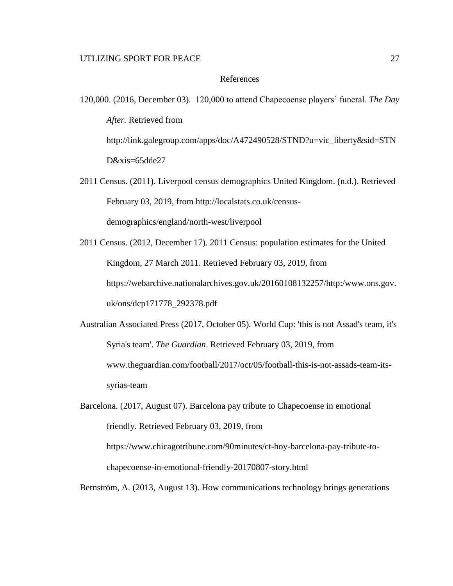#### References

- 120,000. (2016, December 03). 120,000 to attend Chapecoense players' funeral. *The Day After.* Retrieved from http://link.galegroup.com/apps/doc/A472490528/STND?u=vic\_liberty&sid=STN D&xis=65dde27
- 2011 Census. (2011). Liverpool census demographics United Kingdom. (n.d.). Retrieved February 03, 2019, from http://localstats.co.uk/censusdemographics/england/north-west/liverpool
- 2011 Census. (2012, December 17). 2011 Census: population estimates for the United Kingdom, 27 March 2011. Retrieved February 03, 2019, from https://webarchive.nationalarchives.gov.uk/20160108132257/http:/www.ons.gov. uk/ons/dcp171778\_292378.pdf
- Australian Associated Press (2017, October 05). World Cup: 'this is not Assad's team, it's Syria's team'. *The Guardian*. Retrieved February 03, 2019, from www.theguardian.com/football/2017/oct/05/football-this-is-not-assads-team-itssyrias-team
- Barcelona. (2017, August 07). Barcelona pay tribute to Chapecoense in emotional friendly. Retrieved February 03, 2019, from https://www.chicagotribune.com/90minutes/ct-hoy-barcelona-pay-tribute-tochapecoense-in-emotional-friendly-20170807-story.html

Bernström, A. (2013, August 13). How communications technology brings generations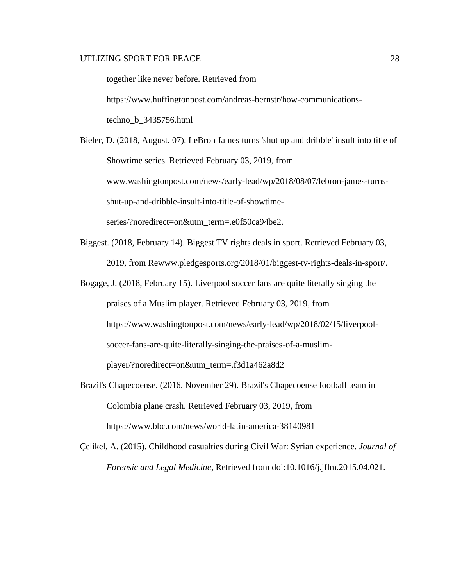together like never before. Retrieved from https://www.huffingtonpost.com/andreas-bernstr/how-communicationstechno\_b\_3435756.html

Bieler, D. (2018, August. 07). LeBron James turns 'shut up and dribble' insult into title of Showtime series. Retrieved February 03, 2019, from www.washingtonpost.com/news/early-lead/wp/2018/08/07/lebron-james-turnsshut-up-and-dribble-insult-into-title-of-showtimeseries/?noredirect=on&utm\_term=.e0f50ca94be2.

- Biggest. (2018, February 14). Biggest TV rights deals in sport. Retrieved February 03, 2019, from Rewww.pledgesports.org/2018/01/biggest-tv-rights-deals-in-sport/.
- Bogage, J. (2018, February 15). Liverpool soccer fans are quite literally singing the praises of a Muslim player. Retrieved February 03, 2019, from https://www.washingtonpost.com/news/early-lead/wp/2018/02/15/liverpoolsoccer-fans-are-quite-literally-singing-the-praises-of-a-muslimplayer/?noredirect=on&utm\_term=.f3d1a462a8d2
- Brazil's Chapecoense. (2016, November 29). Brazil's Chapecoense football team in Colombia plane crash. Retrieved February 03, 2019, from https://www.bbc.com/news/world-latin-america-38140981
- Çelikel, A. (2015). Childhood casualties during Civil War: Syrian experience. *Journal of Forensic and Legal Medicine*, Retrieved from doi:10.1016/j.jflm.2015.04.021.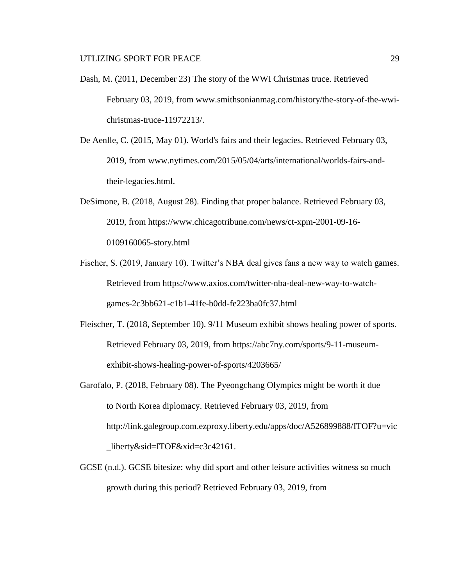- Dash, M. (2011, December 23) The story of the WWI Christmas truce. Retrieved February 03, 2019, from www.smithsonianmag.com/history/the-story-of-the-wwichristmas-truce-11972213/.
- De Aenlle, C. (2015, May 01). World's fairs and their legacies. Retrieved February 03, 2019, from www.nytimes.com/2015/05/04/arts/international/worlds-fairs-andtheir-legacies.html.
- DeSimone, B. (2018, August 28). Finding that proper balance. Retrieved February 03, 2019, from https://www.chicagotribune.com/news/ct-xpm-2001-09-16- 0109160065-story.html
- Fischer, S. (2019, January 10). Twitter's NBA deal gives fans a new way to watch games. Retrieved from https://www.axios.com/twitter-nba-deal-new-way-to-watchgames-2c3bb621-c1b1-41fe-b0dd-fe223ba0fc37.html
- Fleischer, T. (2018, September 10). 9/11 Museum exhibit shows healing power of sports. Retrieved February 03, 2019, from https://abc7ny.com/sports/9-11-museumexhibit-shows-healing-power-of-sports/4203665/
- Garofalo, P. (2018, February 08). The Pyeongchang Olympics might be worth it due to North Korea diplomacy. Retrieved February 03, 2019, from http://link.galegroup.com.ezproxy.liberty.edu/apps/doc/A526899888/ITOF?u=vic \_liberty&sid=ITOF&xid=c3c42161.
- GCSE (n.d.). GCSE bitesize: why did sport and other leisure activities witness so much growth during this period? Retrieved February 03, 2019, from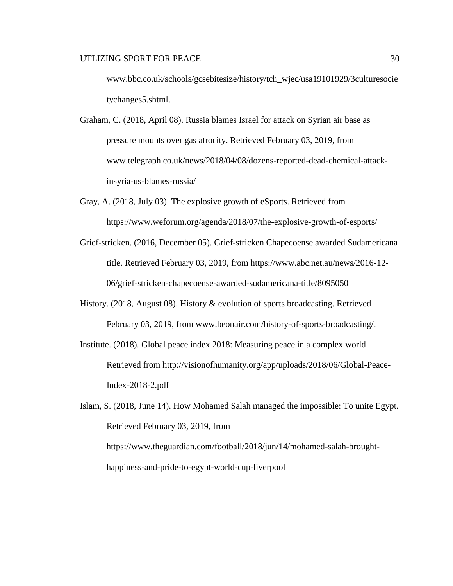www.bbc.co.uk/schools/gcsebitesize/history/tch\_wjec/usa19101929/3culturesocie tychanges5.shtml.

- Graham, C. (2018, April 08). Russia blames Israel for attack on Syrian air base as pressure mounts over gas atrocity. Retrieved February 03, 2019, from www.telegraph.co.uk/news/2018/04/08/dozens-reported-dead-chemical-attackinsyria-us-blames-russia/
- Gray, A. (2018, July 03). The explosive growth of eSports. Retrieved from https://www.weforum.org/agenda/2018/07/the-explosive-growth-of-esports/
- Grief-stricken. (2016, December 05). Grief-stricken Chapecoense awarded Sudamericana title. Retrieved February 03, 2019, from https://www.abc.net.au/news/2016-12- 06/grief-stricken-chapecoense-awarded-sudamericana-title/8095050
- History. (2018, August 08). History & evolution of sports broadcasting. Retrieved February 03, 2019, from www.beonair.com/history-of-sports-broadcasting/.
- Institute. (2018). Global peace index 2018: Measuring peace in a complex world. Retrieved from http://visionofhumanity.org/app/uploads/2018/06/Global-Peace-Index-2018-2.pdf

Islam, S. (2018, June 14). How Mohamed Salah managed the impossible: To unite Egypt. Retrieved February 03, 2019, from https://www.theguardian.com/football/2018/jun/14/mohamed-salah-broughthappiness-and-pride-to-egypt-world-cup-liverpool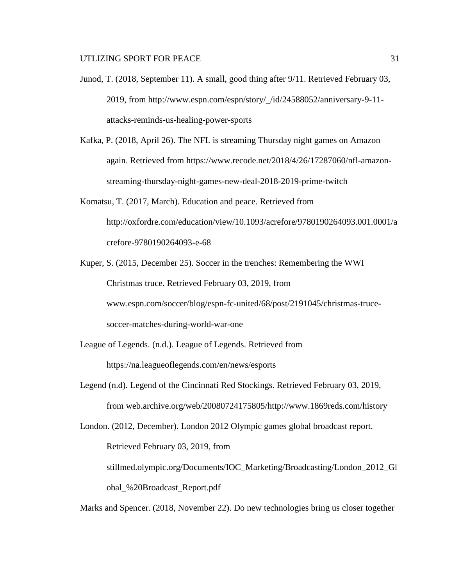- Junod, T. (2018, September 11). A small, good thing after 9/11. Retrieved February 03, 2019, from http://www.espn.com/espn/story/\_/id/24588052/anniversary-9-11 attacks-reminds-us-healing-power-sports
- Kafka, P. (2018, April 26). The NFL is streaming Thursday night games on Amazon again. Retrieved from https://www.recode.net/2018/4/26/17287060/nfl-amazonstreaming-thursday-night-games-new-deal-2018-2019-prime-twitch
- Komatsu, T. (2017, March). Education and peace. Retrieved from http://oxfordre.com/education/view/10.1093/acrefore/9780190264093.001.0001/a crefore-9780190264093-e-68
- Kuper, S. (2015, December 25). Soccer in the trenches: Remembering the WWI Christmas truce. Retrieved February 03, 2019, from www.espn.com/soccer/blog/espn-fc-united/68/post/2191045/christmas-trucesoccer-matches-during-world-war-one
- League of Legends. (n.d.). League of Legends. Retrieved from https://na.leagueoflegends.com/en/news/esports
- Legend (n.d). Legend of the Cincinnati Red Stockings. Retrieved February 03, 2019, from web.archive.org/web/20080724175805/http://www.1869reds.com/history

London. (2012, December). London 2012 Olympic games global broadcast report. Retrieved February 03, 2019, from stillmed.olympic.org/Documents/IOC\_Marketing/Broadcasting/London\_2012\_Gl

obal\_%20Broadcast\_Report.pdf

Marks and Spencer. (2018, November 22). Do new technologies bring us closer together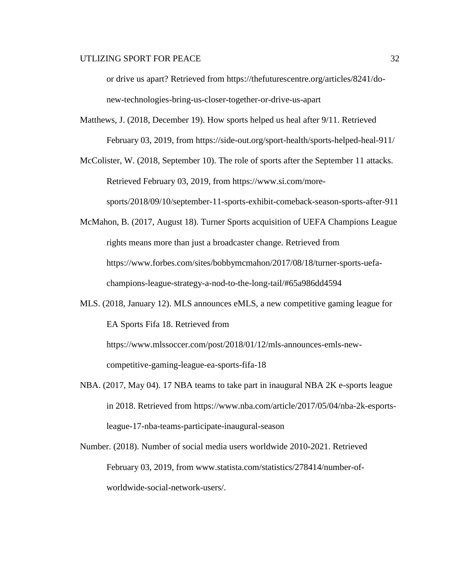or drive us apart? Retrieved from https://thefuturescentre.org/articles/8241/donew-technologies-bring-us-closer-together-or-drive-us-apart

Matthews, J. (2018, December 19). How sports helped us heal after 9/11. Retrieved February 03, 2019, from https://side-out.org/sport-health/sports-helped-heal-911/

McColister, W. (2018, September 10). The role of sports after the September 11 attacks. Retrieved February 03, 2019, from https://www.si.com/moresports/2018/09/10/september-11-sports-exhibit-comeback-season-sports-after-911

McMahon, B. (2017, August 18). Turner Sports acquisition of UEFA Champions League rights means more than just a broadcaster change. Retrieved from https://www.forbes.com/sites/bobbymcmahon/2017/08/18/turner-sports-uefachampions-league-strategy-a-nod-to-the-long-tail/#65a986dd4594

MLS. (2018, January 12). MLS announces eMLS, a new competitive gaming league for EA Sports Fifa 18. Retrieved from https://www.mlssoccer.com/post/2018/01/12/mls-announces-emls-new-

competitive-gaming-league-ea-sports-fifa-18

- NBA. (2017, May 04). 17 NBA teams to take part in inaugural NBA 2K e-sports league in 2018. Retrieved from https://www.nba.com/article/2017/05/04/nba-2k-esportsleague-17-nba-teams-participate-inaugural-season
- Number. (2018). Number of social media users worldwide 2010-2021. Retrieved February 03, 2019, from www.statista.com/statistics/278414/number-ofworldwide-social-network-users/.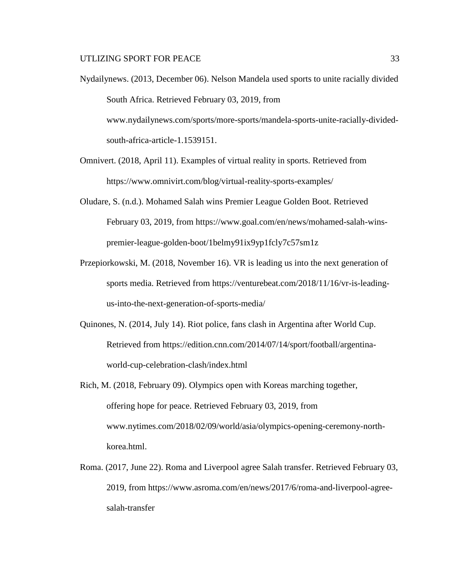- Nydailynews. (2013, December 06). Nelson Mandela used sports to unite racially divided South Africa. Retrieved February 03, 2019, from www.nydailynews.com/sports/more-sports/mandela-sports-unite-racially-dividedsouth-africa-article-1.1539151.
- Omnivert. (2018, April 11). Examples of virtual reality in sports. Retrieved from https://www.omnivirt.com/blog/virtual-reality-sports-examples/
- Oludare, S. (n.d.). Mohamed Salah wins Premier League Golden Boot. Retrieved February 03, 2019, from https://www.goal.com/en/news/mohamed-salah-winspremier-league-golden-boot/1belmy91ix9yp1fcly7c57sm1z
- Przepiorkowski, M. (2018, November 16). VR is leading us into the next generation of sports media. Retrieved from https://venturebeat.com/2018/11/16/vr-is-leadingus-into-the-next-generation-of-sports-media/
- Quinones, N. (2014, July 14). Riot police, fans clash in Argentina after World Cup. Retrieved from https://edition.cnn.com/2014/07/14/sport/football/argentinaworld-cup-celebration-clash/index.html
- Rich, M. (2018, February 09). Olympics open with Koreas marching together, offering hope for peace. Retrieved February 03, 2019, from www.nytimes.com/2018/02/09/world/asia/olympics-opening-ceremony-northkorea.html.
- Roma. (2017, June 22). Roma and Liverpool agree Salah transfer. Retrieved February 03, 2019, from https://www.asroma.com/en/news/2017/6/roma-and-liverpool-agreesalah-transfer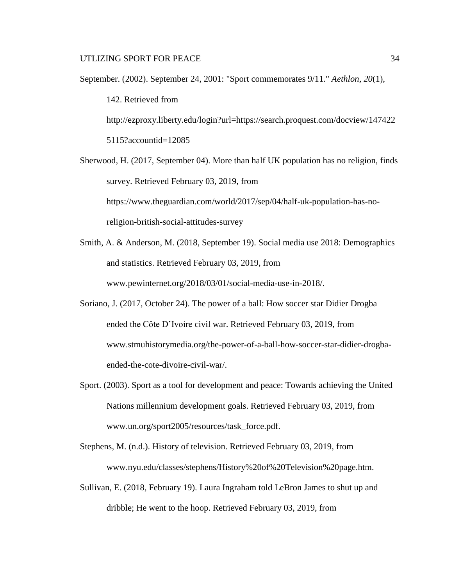September. (2002). September 24, 2001: "Sport commemorates 9/11." *Aethlon, 20*(1), 142. Retrieved from http://ezproxy.liberty.edu/login?url=https://search.proquest.com/docview/147422 5115?accountid=12085

Sherwood, H. (2017, September 04). More than half UK population has no religion, finds survey. Retrieved February 03, 2019, from https://www.theguardian.com/world/2017/sep/04/half-uk-population-has-noreligion-british-social-attitudes-survey

- Smith, A. & Anderson, M. (2018, September 19). Social media use 2018: Demographics and statistics. Retrieved February 03, 2019, from www.pewinternet.org/2018/03/01/social-media-use-in-2018/.
- Soriano, J. (2017, October 24). The power of a ball: How soccer star Didier Drogba ended the Côte D'Ivoire civil war. Retrieved February 03, 2019, from www.stmuhistorymedia.org/the-power-of-a-ball-how-soccer-star-didier-drogbaended-the-cote-divoire-civil-war/.
- Sport. (2003). Sport as a tool for development and peace: Towards achieving the United Nations millennium development goals. Retrieved February 03, 2019, from www.un.org/sport2005/resources/task\_force.pdf.
- Stephens, M. (n.d.). History of television. Retrieved February 03, 2019, from www.nyu.edu/classes/stephens/History%20of%20Television%20page.htm.
- Sullivan, E. (2018, February 19). Laura Ingraham told LeBron James to shut up and dribble; He went to the hoop. Retrieved February 03, 2019, from